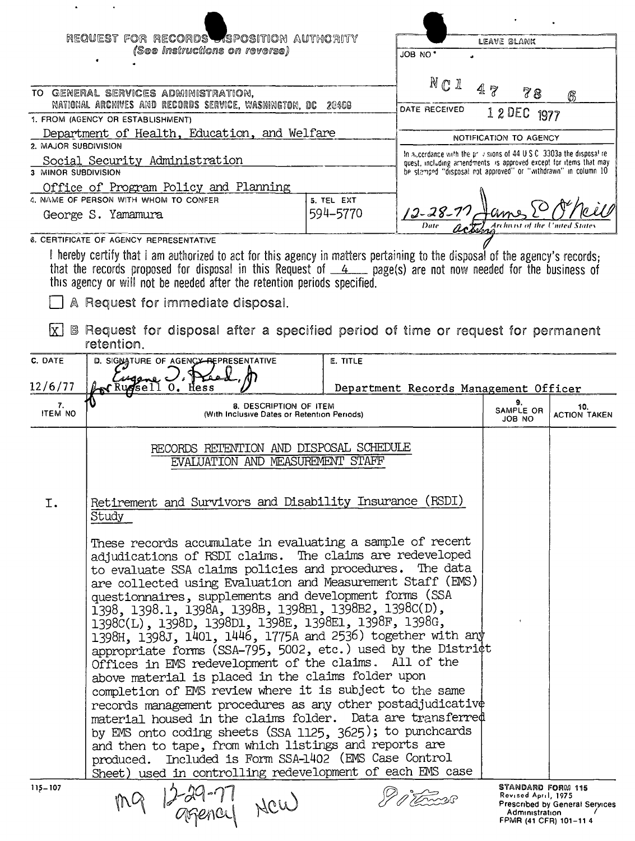|                      | REQUEST FOR RECORDS SPOSITION AUTHORITY                                                                                                                                                    |                 |                                                                                                                                     | LEAVE BLANK                              |                                |
|----------------------|--------------------------------------------------------------------------------------------------------------------------------------------------------------------------------------------|-----------------|-------------------------------------------------------------------------------------------------------------------------------------|------------------------------------------|--------------------------------|
|                      | (See Instructions on reverse)                                                                                                                                                              |                 | JOB NO'                                                                                                                             |                                          |                                |
|                      |                                                                                                                                                                                            |                 |                                                                                                                                     |                                          |                                |
|                      | TO GENERAL SERVICES ADMINISTRATION,                                                                                                                                                        |                 | $N \mathbb{C}$ 1                                                                                                                    | 47<br>78                                 | 6                              |
|                      | NATIONAL ARCHIVES AND RECORDS SERVICE, WASHINGTON, DC<br>1. FROM (AGENCY OR ESTABLISHMENT)                                                                                                 | 20408           | DATE RECEIVED                                                                                                                       | 1 2 DEC 1977                             |                                |
|                      | Department of Health, Education, and Welfare                                                                                                                                               |                 |                                                                                                                                     | NOTIFICATION TO AGENCY                   |                                |
| 2. MAJOR SUBDIVISION |                                                                                                                                                                                            |                 | In accordance with the privisions of 44 U.S.C. 3303a the disposal re-                                                               |                                          |                                |
| 3 MINOR SUBDIVISION  | Social Security Administration                                                                                                                                                             |                 | quest, including amendments is approved except for items that may<br>be stamped "disposal not approved" or "withdrawn" in column 10 |                                          |                                |
|                      | Office of Program Policy and Planning                                                                                                                                                      |                 |                                                                                                                                     |                                          |                                |
|                      | 4. NAME OF PERSON WITH WHOM TO CONFER                                                                                                                                                      | 5. TEL EXT      |                                                                                                                                     |                                          |                                |
|                      | George S. Yamamura                                                                                                                                                                         | 594-5770        | $12 - 28 - 2$                                                                                                                       |                                          |                                |
|                      | <b>6. CERTIFICATE OF AGENCY REPRESENTATIVE</b>                                                                                                                                             |                 |                                                                                                                                     |                                          |                                |
|                      | I hereby certify that I am authorized to act for this agency in matters pertaining to the disposal of the agency's records;                                                                |                 |                                                                                                                                     |                                          |                                |
|                      | that the records proposed for disposal in this Request of $4$ , page(s) are not now needed for the business of<br>this agency or will not be needed after the retention periods specified. |                 |                                                                                                                                     |                                          |                                |
|                      | A Request for immediate disposal.                                                                                                                                                          |                 |                                                                                                                                     |                                          |                                |
| lx I                 | B Request for disposal after a specified period of time or request for permanent                                                                                                           |                 |                                                                                                                                     |                                          |                                |
|                      | retention.                                                                                                                                                                                 |                 |                                                                                                                                     |                                          |                                |
| C. DATE              | D. SIGNATURE OF AGENCY REPRESENTATIVE                                                                                                                                                      | <b>E. TITLE</b> |                                                                                                                                     |                                          |                                |
| 12/6/77              | ugene Vi<br>KRussell 0. Hess                                                                                                                                                               |                 | Department Records Management Officer                                                                                               |                                          |                                |
| 7.<br><b>ITEM NO</b> | 8. DESCRIPTION OF ITEM<br>(With Inclusive Dates or Retention Periods)                                                                                                                      |                 |                                                                                                                                     | 9.<br>SAMPLE OR<br>ON BOL                | 10.<br><b>ACTION TAKEN</b>     |
|                      |                                                                                                                                                                                            |                 |                                                                                                                                     |                                          |                                |
|                      | RECORDS RETENTION AND DISPOSAL SCHEDULE<br>EVALUATION AND MEASUREMENT STAFF                                                                                                                |                 |                                                                                                                                     |                                          |                                |
|                      |                                                                                                                                                                                            |                 |                                                                                                                                     |                                          |                                |
|                      |                                                                                                                                                                                            |                 |                                                                                                                                     |                                          |                                |
| Ι.                   | Retirement and Survivors and Disability Insurance (RSDI)<br>Study                                                                                                                          |                 |                                                                                                                                     |                                          |                                |
|                      |                                                                                                                                                                                            |                 |                                                                                                                                     |                                          |                                |
|                      | These records accumulate in evaluating a sample of recent<br>adjudications of RSDI claims. The claims are redeveloped                                                                      |                 |                                                                                                                                     |                                          |                                |
|                      | to evaluate SSA claims policies and procedures. The data                                                                                                                                   |                 |                                                                                                                                     |                                          |                                |
|                      | are collected using Evaluation and Measurement Staff (EMS)                                                                                                                                 |                 |                                                                                                                                     |                                          |                                |
|                      | questionnaires, supplements and development forms (SSA                                                                                                                                     |                 |                                                                                                                                     |                                          |                                |
|                      | 1398, 1398.1, 1398A, 1398B, 1398B1, 1398B2, 1398C(D),<br>1398C(L), 1398D, 1398D1, 1398E, 1398E1, 1398F, 1398G,                                                                             |                 |                                                                                                                                     |                                          |                                |
|                      | 1398H, 1398J, 1401, 1446, 1775A and 2536) together with any                                                                                                                                |                 |                                                                                                                                     |                                          |                                |
|                      | appropriate forms (SSA-795, 5002, etc.) used by the District                                                                                                                               |                 |                                                                                                                                     |                                          |                                |
|                      | Offices in EMS redevelopment of the claims. All of the                                                                                                                                     |                 |                                                                                                                                     |                                          |                                |
|                      | above material is placed in the claims folder upon<br>completion of EMS review where it is subject to the same                                                                             |                 |                                                                                                                                     |                                          |                                |
|                      | records management procedures as any other postadjudicative                                                                                                                                |                 |                                                                                                                                     |                                          |                                |
|                      | material housed in the claims folder. Data are transferred                                                                                                                                 |                 |                                                                                                                                     |                                          |                                |
|                      | by EMS onto coding sheets (SSA 1125, 3625); to punchcards                                                                                                                                  |                 |                                                                                                                                     |                                          |                                |
|                      | and then to tape, from which listings and reports are                                                                                                                                      |                 |                                                                                                                                     |                                          |                                |
|                      | produced. Included is Form SSA-1402 (EMS Case Control<br>Sheet) used in controlling redevelopment of each EMS case                                                                         |                 |                                                                                                                                     |                                          |                                |
| $115 - 107$          |                                                                                                                                                                                            |                 |                                                                                                                                     | STANDARD FORM 115                        |                                |
|                      | 12-29-77 New                                                                                                                                                                               |                 |                                                                                                                                     | Revised April, 1975                      | Prescribed by General Services |
|                      |                                                                                                                                                                                            |                 |                                                                                                                                     | Administration<br>FPMR (41 CFR) 101-11 4 |                                |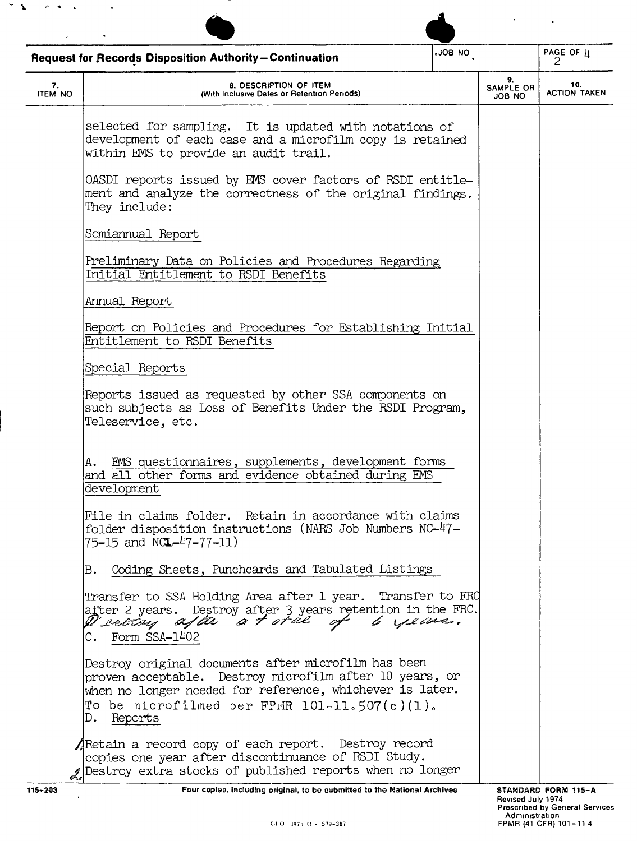|                      | Request for Records Disposition Authority-Continuation                                                                                                                                                                                      | ON 8OL. |                                  | PAGE OF $\frac{1}{2}$      |
|----------------------|---------------------------------------------------------------------------------------------------------------------------------------------------------------------------------------------------------------------------------------------|---------|----------------------------------|----------------------------|
| 7.<br><b>ITEM NO</b> | 8. DESCRIPTION OF ITEM<br>(With Inclusive Dates or Retention Periods)                                                                                                                                                                       |         | 9.<br>SAMPLE OR<br><b>JOB NO</b> | 10.<br><b>ACTION TAKEN</b> |
|                      | selected for sampling. It is updated with notations of<br>development of each case and a microfilm copy is retained<br>within EMS to provide an audit trail.                                                                                |         |                                  |                            |
|                      | OASDI reports issued by EMS cover factors of RSDI entitle-<br>ment and analyze the correctness of the original findings.<br>They include:                                                                                                   |         |                                  |                            |
|                      | Semiannual Report                                                                                                                                                                                                                           |         |                                  |                            |
|                      | Preliminary Data on Policies and Procedures Regarding<br>Initial Entitlement to RSDI Benefits                                                                                                                                               |         |                                  |                            |
|                      | Annual Report                                                                                                                                                                                                                               |         |                                  |                            |
|                      | Report on Policies and Procedures for Establishing Initial<br>Entitlement to RSDI Benefits                                                                                                                                                  |         |                                  |                            |
|                      | Special Reports                                                                                                                                                                                                                             |         |                                  |                            |
|                      | Reports issued as requested by other SSA components on<br>such subjects as Loss of Benefits Under the RSDI Program,<br>Teleservice, etc.                                                                                                    |         |                                  |                            |
|                      | EMS questionnaires, supplements, development forms<br>Α.<br>and all other forms and evidence obtained during EMS<br>development                                                                                                             |         |                                  |                            |
|                      | File in claims folder. Retain in accordance with claims<br>folder disposition instructions (NARS Job Numbers NC-47-<br>75-15 and NC <b>L</b> -47-77-11)                                                                                     |         |                                  |                            |
|                      | Coding Sheets, Punchcards and Tabulated Listings<br>В.                                                                                                                                                                                      |         |                                  |                            |
|                      | Transfer to SSA Holding Area after 1 year. Transfer to FRO<br>after 2 years. Destroy after 3 years retention in the FRC.<br>D'interny after a t oral of 6 years.<br>C. Form SSA-1402                                                        |         |                                  |                            |
|                      | Destroy original documents after microfilm has been<br>proven acceptable. Destroy microfilm after 10 years, or<br>when no longer needed for reference, whichever is later.<br>To be nicrofilmed per FPMR $101-11.507(c)(1)$ .<br>D. Reports |         |                                  |                            |
|                      | ARetain a record copy of each report. Destroy record<br>copies one year after discontinuance of RSDI Study.<br>2 Destroy extra stocks of published reports when no longer                                                                   |         |                                  |                            |

 $\mathcal{P} \subset \mathbf{X}$  . If we can express that

-----!. Four copies, Including original, <sup>10</sup> lie submlttel)] <sup>10</sup> Ihe National Archives STANDARD FORM 11S-A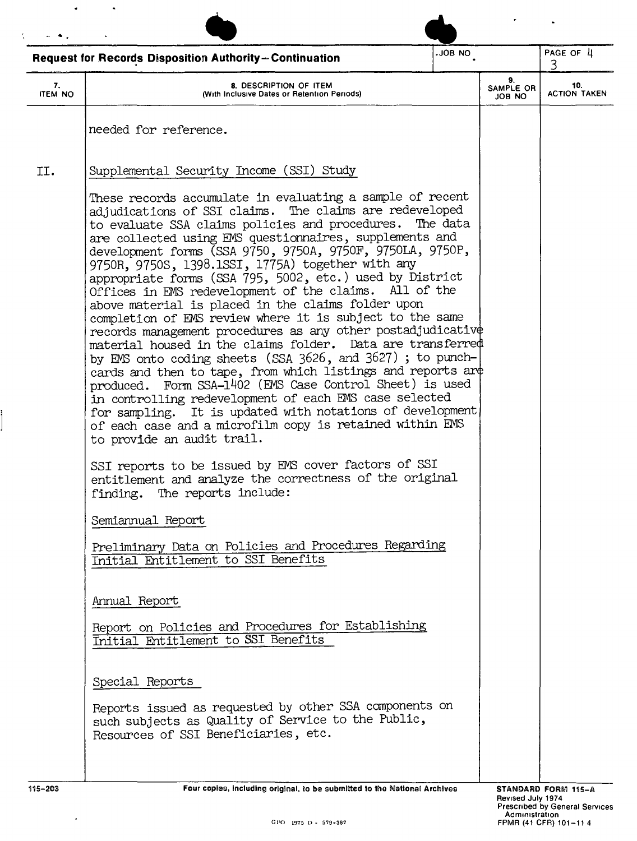|                      | <b>Request for Records Disposition Authority-Continuation</b>                                                                                                                                                                                                                                                                                                                                                                                                                                                                                                                                                                                                                                                                                                                                                                                                                                                                                                                                                                                                                                                                       | ON 80L.                                                                   |                           | PAGE OF 4<br>3.            |
|----------------------|-------------------------------------------------------------------------------------------------------------------------------------------------------------------------------------------------------------------------------------------------------------------------------------------------------------------------------------------------------------------------------------------------------------------------------------------------------------------------------------------------------------------------------------------------------------------------------------------------------------------------------------------------------------------------------------------------------------------------------------------------------------------------------------------------------------------------------------------------------------------------------------------------------------------------------------------------------------------------------------------------------------------------------------------------------------------------------------------------------------------------------------|---------------------------------------------------------------------------|---------------------------|----------------------------|
| 7.<br><b>ITEM NO</b> | 8. DESCRIPTION OF ITEM<br>(With Inclusive Dates or Retention Periods)                                                                                                                                                                                                                                                                                                                                                                                                                                                                                                                                                                                                                                                                                                                                                                                                                                                                                                                                                                                                                                                               |                                                                           | 9.<br>SAMPLE OR<br>JOB NO | 10.<br><b>ACTION TAKEN</b> |
|                      | needed for reference.                                                                                                                                                                                                                                                                                                                                                                                                                                                                                                                                                                                                                                                                                                                                                                                                                                                                                                                                                                                                                                                                                                               |                                                                           |                           |                            |
| II.                  | Supplemental Security Income (SSI) Study                                                                                                                                                                                                                                                                                                                                                                                                                                                                                                                                                                                                                                                                                                                                                                                                                                                                                                                                                                                                                                                                                            |                                                                           |                           |                            |
|                      | These records accumulate in evaluating a sample of recent<br>adjudications of SSI claims. The claims are redeveloped<br>to evaluate SSA claims policies and procedures.<br>are collected using EMS questionnaires, supplements and<br>development forms (SSA 9750, 9750A, 9750F, 9750LA, 9750P,<br>9750R, 9750S, 1398.1SSI, 1775A) together with any<br>appropriate forms (SSA 795, 5002, etc.) used by District<br>Offices in EMS redevelopment of the claims. All of the<br>above material is placed in the claims folder upon<br>completion of EMS review where it is subject to the same<br>records management procedures as any other postadjudicative<br>material housed in the claims folder. Data are transferred<br>by EMS onto coding sheets (SSA 3626, and 3627); to punch-<br>cards and then to tape, from which listings and reports are<br>produced. Form SSA-1402 (EMS Case Control Sheet) is used<br>in controlling redevelopment of each EMS case selected<br>for sampling. It is updated with notations of development,<br>of each case and a microfilm copy is retained within EMS<br>to provide an audit trail. | The data                                                                  |                           |                            |
|                      | SSI reports to be issued by EMS cover factors of SSI<br>entitlement and analyze the correctness of the original<br>finding. The reports include:                                                                                                                                                                                                                                                                                                                                                                                                                                                                                                                                                                                                                                                                                                                                                                                                                                                                                                                                                                                    |                                                                           |                           |                            |
|                      | Semiannual Report                                                                                                                                                                                                                                                                                                                                                                                                                                                                                                                                                                                                                                                                                                                                                                                                                                                                                                                                                                                                                                                                                                                   |                                                                           |                           |                            |
|                      | Preliminary Data on Policies and Procedures Regarding<br>Initial Entitlement to SSI Benefits                                                                                                                                                                                                                                                                                                                                                                                                                                                                                                                                                                                                                                                                                                                                                                                                                                                                                                                                                                                                                                        |                                                                           |                           |                            |
|                      | Annual Report                                                                                                                                                                                                                                                                                                                                                                                                                                                                                                                                                                                                                                                                                                                                                                                                                                                                                                                                                                                                                                                                                                                       |                                                                           |                           |                            |
|                      | Report on Policies and Procedures for Establishing<br>Initial Entitlement to SSI Benefits                                                                                                                                                                                                                                                                                                                                                                                                                                                                                                                                                                                                                                                                                                                                                                                                                                                                                                                                                                                                                                           |                                                                           |                           |                            |
|                      | Special Reports                                                                                                                                                                                                                                                                                                                                                                                                                                                                                                                                                                                                                                                                                                                                                                                                                                                                                                                                                                                                                                                                                                                     |                                                                           |                           |                            |
|                      | Reports issued as requested by other SSA components on<br>such subjects as Quality of Service to the Public,<br>Resources of SSI Beneficiaries, etc.                                                                                                                                                                                                                                                                                                                                                                                                                                                                                                                                                                                                                                                                                                                                                                                                                                                                                                                                                                                |                                                                           |                           |                            |
| 115-203              |                                                                                                                                                                                                                                                                                                                                                                                                                                                                                                                                                                                                                                                                                                                                                                                                                                                                                                                                                                                                                                                                                                                                     | Four copies, including original, to be submitted to the National Archives | STANDARD FORM 115-A       |                            |

 $\bar{z}$ 

Ì